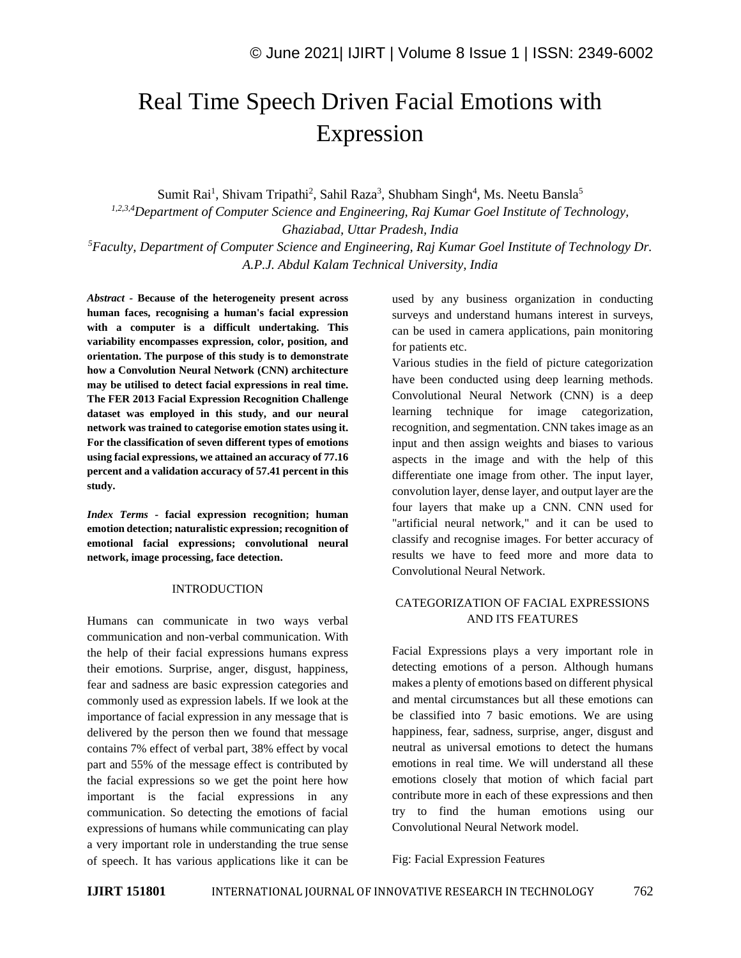# Real Time Speech Driven Facial Emotions with Expression

Sumit Rai<sup>1</sup>, Shivam Tripathi<sup>2</sup>, Sahil Raza<sup>3</sup>, Shubham Singh<sup>4</sup>, Ms. Neetu Bansla<sup>5</sup>

*1,2,3,4Department of Computer Science and Engineering, Raj Kumar Goel Institute of Technology, Ghaziabad, Uttar Pradesh, India <sup>5</sup>Faculty, Department of Computer Science and Engineering, Raj Kumar Goel Institute of Technology Dr.* 

*A.P.J. Abdul Kalam Technical University, India* 

*Abstract -* **Because of the heterogeneity present across human faces, recognising a human's facial expression with a computer is a difficult undertaking. This variability encompasses expression, color, position, and orientation. The purpose of this study is to demonstrate how a Convolution Neural Network (CNN) architecture may be utilised to detect facial expressions in real time. The FER 2013 Facial Expression Recognition Challenge dataset was employed in this study, and our neural network was trained to categorise emotion states using it. For the classification of seven different types of emotions using facial expressions, we attained an accuracy of 77.16 percent and a validation accuracy of 57.41 percent in this study.**

*Index Terms -* **facial expression recognition; human emotion detection; naturalistic expression; recognition of emotional facial expressions; convolutional neural network, image processing, face detection.**

#### **INTRODUCTION**

Humans can communicate in two ways verbal communication and non-verbal communication. With the help of their facial expressions humans express their emotions. Surprise, anger, disgust, happiness, fear and sadness are basic expression categories and commonly used as expression labels. If we look at the importance of facial expression in any message that is delivered by the person then we found that message contains 7% effect of verbal part, 38% effect by vocal part and 55% of the message effect is contributed by the facial expressions so we get the point here how important is the facial expressions in any communication. So detecting the emotions of facial expressions of humans while communicating can play a very important role in understanding the true sense of speech. It has various applications like it can be used by any business organization in conducting surveys and understand humans interest in surveys, can be used in camera applications, pain monitoring for patients etc.

Various studies in the field of picture categorization have been conducted using deep learning methods. Convolutional Neural Network (CNN) is a deep learning technique for image categorization, recognition, and segmentation. CNN takes image as an input and then assign weights and biases to various aspects in the image and with the help of this differentiate one image from other. The input layer, convolution layer, dense layer, and output layer are the four layers that make up a CNN. CNN used for "artificial neural network," and it can be used to classify and recognise images. For better accuracy of results we have to feed more and more data to Convolutional Neural Network.

# CATEGORIZATION OF FACIAL EXPRESSIONS AND ITS FEATURES

Facial Expressions plays a very important role in detecting emotions of a person. Although humans makes a plenty of emotions based on different physical and mental circumstances but all these emotions can be classified into 7 basic emotions. We are using happiness, fear, sadness, surprise, anger, disgust and neutral as universal emotions to detect the humans emotions in real time. We will understand all these emotions closely that motion of which facial part contribute more in each of these expressions and then try to find the human emotions using our Convolutional Neural Network model.

### Fig: Facial Expression Features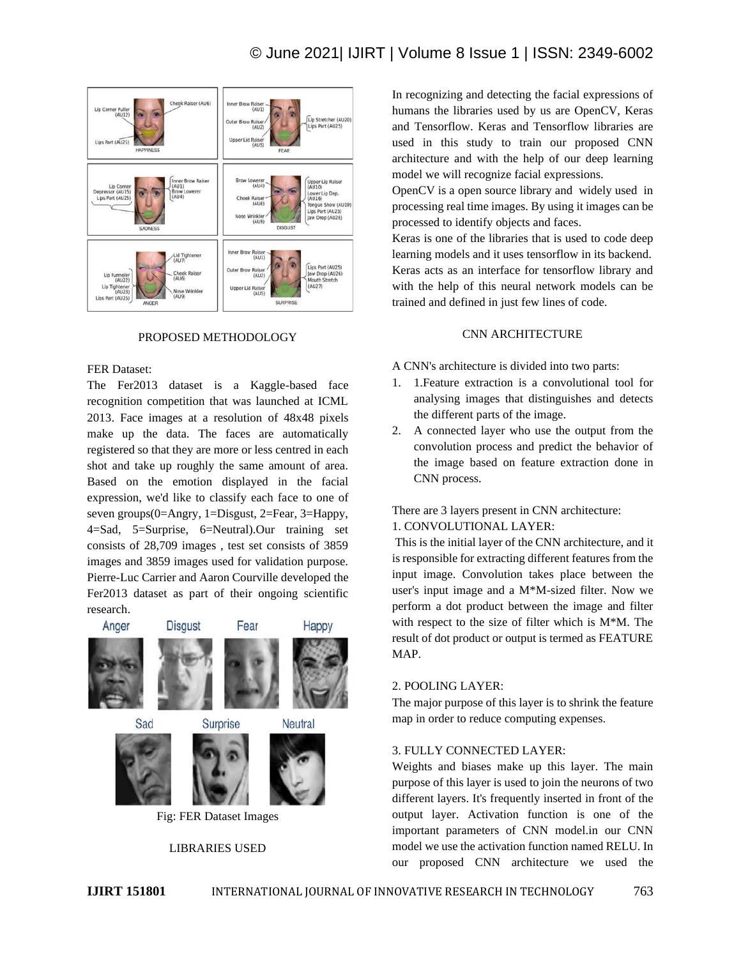

### PROPOSED METHODOLOGY

#### FER Dataset:

The Fer2013 dataset is a Kaggle-based face recognition competition that was launched at ICML 2013. Face images at a resolution of 48x48 pixels make up the data. The faces are automatically registered so that they are more or less centred in each shot and take up roughly the same amount of area. Based on the emotion displayed in the facial expression, we'd like to classify each face to one of seven groups(0=Angry, 1=Disgust, 2=Fear, 3=Happy, 4=Sad, 5=Surprise, 6=Neutral).Our training set consists of 28,709 images , test set consists of 3859 images and 3859 images used for validation purpose. Pierre-Luc Carrier and Aaron Courville developed the Fer2013 dataset as part of their ongoing scientific research.



## LIBRARIES USED

In recognizing and detecting the facial expressions of humans the libraries used by us are OpenCV, Keras and Tensorflow. Keras and Tensorflow libraries are used in this study to train our proposed CNN architecture and with the help of our deep learning model we will recognize facial expressions.

OpenCV is a open source library and widely used in processing real time images. By using it images can be processed to identify objects and faces.

Keras is one of the libraries that is used to code deep learning models and it uses tensorflow in its backend. Keras acts as an interface for tensorflow library and with the help of this neural network models can be trained and defined in just few lines of code.

#### CNN ARCHITECTURE

A CNN's architecture is divided into two parts:

- 1. 1.Feature extraction is a convolutional tool for analysing images that distinguishes and detects the different parts of the image.
- 2. A connected layer who use the output from the convolution process and predict the behavior of the image based on feature extraction done in CNN process.

There are 3 layers present in CNN architecture: 1. CONVOLUTIONAL LAYER:

This is the initial layer of the CNN architecture, and it is responsible for extracting different features from the input image. Convolution takes place between the user's input image and a M\*M-sized filter. Now we perform a dot product between the image and filter with respect to the size of filter which is M\*M. The result of dot product or output is termed as FEATURE MAP.

## 2. POOLING LAYER:

The major purpose of this layer is to shrink the feature map in order to reduce computing expenses.

#### 3. FULLY CONNECTED LAYER:

Weights and biases make up this layer. The main purpose of this layer is used to join the neurons of two different layers. It's frequently inserted in front of the output layer. Activation function is one of the important parameters of CNN model.in our CNN model we use the activation function named RELU. In our proposed CNN architecture we used the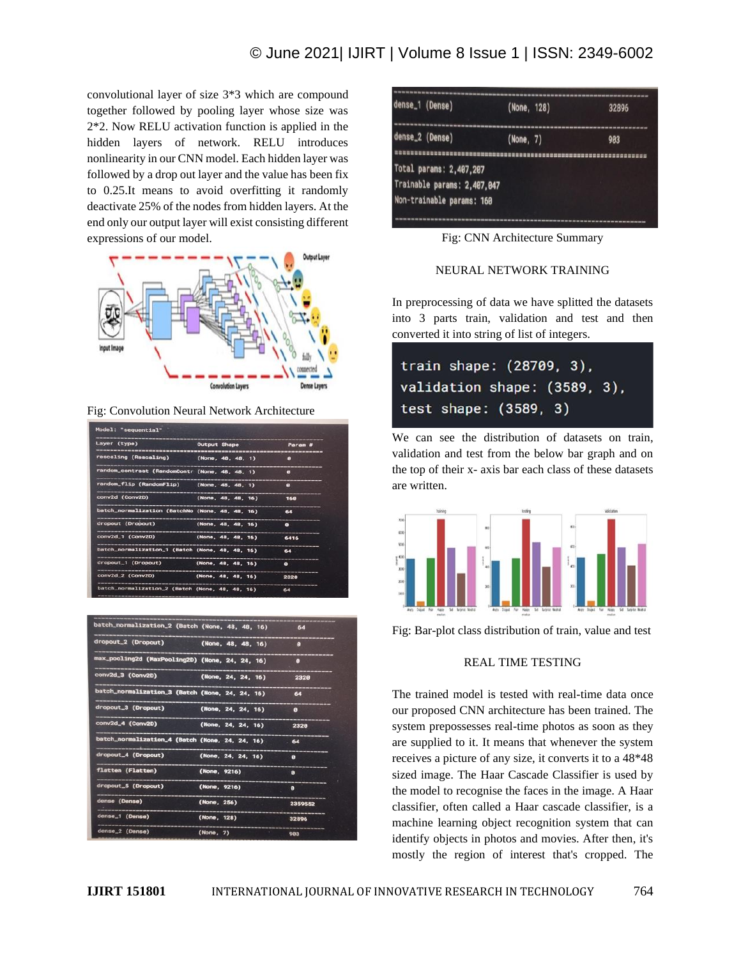# © June 2021| IJIRT | Volume 8 Issue 1 | ISSN: 2349-6002

convolutional layer of size 3\*3 which are compound together followed by pooling layer whose size was 2\*2. Now RELU activation function is applied in the hidden layers of network. RELU introduces nonlinearity in our CNN model. Each hidden layer was followed by a drop out layer and the value has been fix to 0.25.It means to avoid overfitting it randomly deactivate 25% of the nodes from hidden layers. At the end only our output layer will exist consisting different expressions of our model.



Fig: Convolution Neural Network Architecture

| Layer (type)                                    | Output Shape       |  | Param #   |
|-------------------------------------------------|--------------------|--|-----------|
| rescaling (Rescaling) (None, 48, 48, 1)         |                    |  | e         |
| random_contrast (RandomContr (None, 48, 48, 1)  |                    |  | $\bullet$ |
| random_flip (RandomFlip) (None, 48, 48, 1)      |                    |  | $\bullet$ |
| conv2d (Conv2D)                                 | (None, 48, 48, 16) |  | 160       |
| batch_normalization (BatchNo (None, 48, 48, 16) |                    |  | 64        |
| dropout (Dropout) (None, 48, 48, 16)            |                    |  | $\bullet$ |
| conv2d_1 (Conv2D) (None, 48, 48, 16)            |                    |  | 6416      |
| batch_normalization_1 (Batch (None, 48, 48, 16) |                    |  | 64        |
| dropout_1 (Dropout)                             | (None, 48, 48, 16) |  | $\bullet$ |
| conv2d_2 (Conv2D)                               | (None, 48, 48, 16) |  | 2320      |
| batch_normalization_2 (Batch (None, 48, 48, 16) |                    |  | 64        |

| batch_normalization_2 (Batch (None, 48, 48, 16) |              |                    | 64                    |
|-------------------------------------------------|--------------|--------------------|-----------------------|
| dropout_2 (Dropout)                             |              | (None, 48, 48, 16) | ø                     |
| max_pooling2d (MaxPooling2D) (None, 24, 24, 16) |              |                    | $\boldsymbol{\theta}$ |
| conv2d_3 (Conv2D)                               |              | (None, 24, 24, 16) | 2328                  |
| batch_normalization_3 (Batch (None, 24, 24, 16) |              |                    | 64                    |
| dropout_3 (Dropout)                             |              | (None, 24, 24, 16) | $\blacksquare$        |
| conv2d_4 (Conv2D)                               |              | (None, 24, 24, 16) | 2328                  |
| batch_normalization_4 (Batch (None, 24, 24, 16) |              |                    | $-64$                 |
| dropout_4 (Dropout)                             |              | (None, 24, 24, 16) | ø                     |
| flatten (Flatten)                               | (None, 9216) |                    | ø                     |
| dropout_5 (Dropout)                             | (None, 9216) |                    | ø                     |
| dense (Dense)                                   | (None, 256)  |                    | 2359552               |
| dense_1 (Dense)                                 | (None, 128)  |                    | 32896                 |
| dense_2 (Dense)                                 | (None, 7)    |                    | 983                   |

| dense_1 (Dense)             | (None, 128) | 32896                                                               |
|-----------------------------|-------------|---------------------------------------------------------------------|
| dense_2 (Dense)             | (None, 7)   | 903                                                                 |
| Total params: 2,407,207     |             | R 또 한 한 분 분 분 변 한 번 한 번 한 번 한 번 한 번 한 번 이 선 전 선 선 선 선 선 선 선 선 선 선 선 |
| Trainable params: 2,407,047 |             |                                                                     |
| Non-trainable params: 160   |             |                                                                     |
|                             |             |                                                                     |

Fig: CNN Architecture Summary

#### NEURAL NETWORK TRAINING

In preprocessing of data we have splitted the datasets into 3 parts train, validation and test and then converted it into string of list of integers.

| train shape: (28709, 3),     |  |
|------------------------------|--|
| validation shape: (3589, 3), |  |
| test shape: (3589, 3)        |  |

We can see the distribution of datasets on train, validation and test from the below bar graph and on the top of their x- axis bar each class of these datasets are written.



Fig: Bar-plot class distribution of train, value and test

#### REAL TIME TESTING

The trained model is tested with real-time data once our proposed CNN architecture has been trained. The system prepossesses real-time photos as soon as they are supplied to it. It means that whenever the system receives a picture of any size, it converts it to a 48\*48 sized image. The Haar Cascade Classifier is used by the model to recognise the faces in the image. A Haar classifier, often called a Haar cascade classifier, is a machine learning object recognition system that can identify objects in photos and movies. After then, it's mostly the region of interest that's cropped. The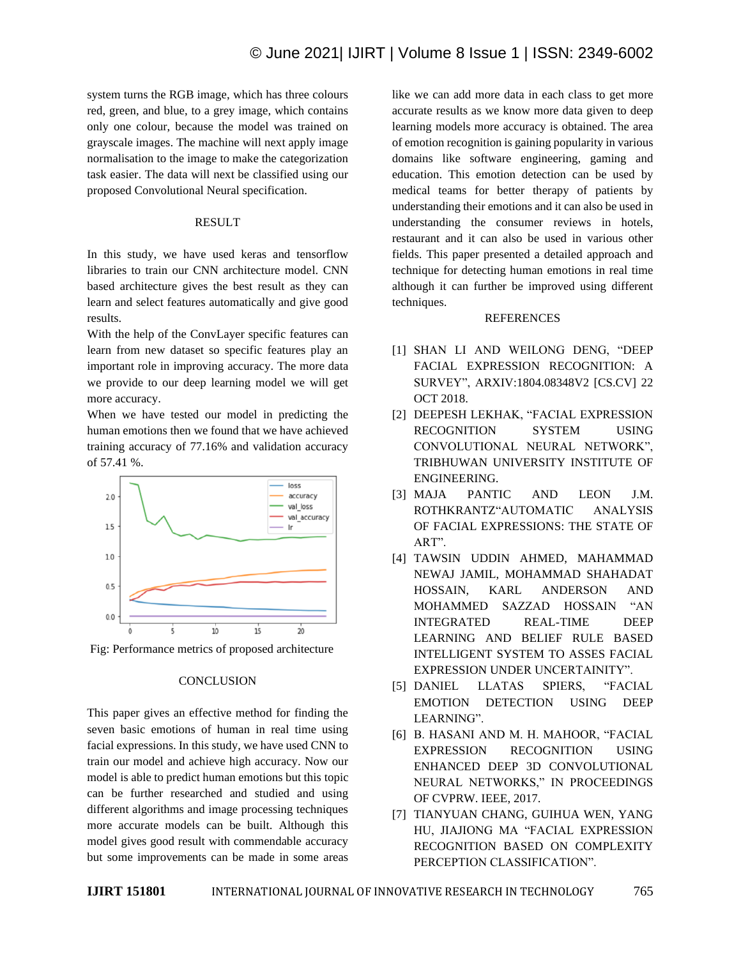system turns the RGB image, which has three colours red, green, and blue, to a grey image, which contains only one colour, because the model was trained on grayscale images. The machine will next apply image normalisation to the image to make the categorization task easier. The data will next be classified using our proposed Convolutional Neural specification.

#### RESULT

In this study, we have used keras and tensorflow libraries to train our CNN architecture model. CNN based architecture gives the best result as they can learn and select features automatically and give good results.

With the help of the ConvLayer specific features can learn from new dataset so specific features play an important role in improving accuracy. The more data we provide to our deep learning model we will get more accuracy.

When we have tested our model in predicting the human emotions then we found that we have achieved training accuracy of 77.16% and validation accuracy of 57.41 %.



Fig: Performance metrics of proposed architecture

### **CONCLUSION**

This paper gives an effective method for finding the seven basic emotions of human in real time using facial expressions. In this study, we have used CNN to train our model and achieve high accuracy. Now our model is able to predict human emotions but this topic can be further researched and studied and using different algorithms and image processing techniques more accurate models can be built. Although this model gives good result with commendable accuracy but some improvements can be made in some areas like we can add more data in each class to get more accurate results as we know more data given to deep learning models more accuracy is obtained. The area of emotion recognition is gaining popularity in various domains like software engineering, gaming and education. This emotion detection can be used by medical teams for better therapy of patients by understanding their emotions and it can also be used in understanding the consumer reviews in hotels, restaurant and it can also be used in various other fields. This paper presented a detailed approach and technique for detecting human emotions in real time although it can further be improved using different techniques.

# REFERENCES

- [1] SHAN LI AND WEILONG DENG, "DEEP FACIAL EXPRESSION RECOGNITION: A SURVEY", ARXIV:1804.08348V2 [CS.CV] 22 OCT 2018.
- [2] DEEPESH LEKHAK, "FACIAL EXPRESSION RECOGNITION SYSTEM USING CONVOLUTIONAL NEURAL NETWORK", TRIBHUWAN UNIVERSITY INSTITUTE OF ENGINEERING.
- [3] MAJA PANTIC AND LEON J.M. ROTHKRANTZ"AUTOMATIC ANALYSIS OF FACIAL EXPRESSIONS: THE STATE OF ART".
- [4] TAWSIN UDDIN AHMED, MAHAMMAD NEWAJ JAMIL, MOHAMMAD SHAHADAT HOSSAIN, KARL ANDERSON AND MOHAMMED SAZZAD HOSSAIN "AN INTEGRATED REAL-TIME DEEP LEARNING AND BELIEF RULE BASED INTELLIGENT SYSTEM TO ASSES FACIAL EXPRESSION UNDER UNCERTAINITY".
- [5] DANIEL LLATAS SPIERS, "FACIAL EMOTION DETECTION USING DEEP LEARNING".
- [6] B. HASANI AND M. H. MAHOOR, "FACIAL EXPRESSION RECOGNITION USING ENHANCED DEEP 3D CONVOLUTIONAL NEURAL NETWORKS," IN PROCEEDINGS OF CVPRW. IEEE, 2017.
- [7] TIANYUAN CHANG, GUIHUA WEN, YANG HU, JIAJIONG MA "FACIAL EXPRESSION RECOGNITION BASED ON COMPLEXITY PERCEPTION CLASSIFICATION".